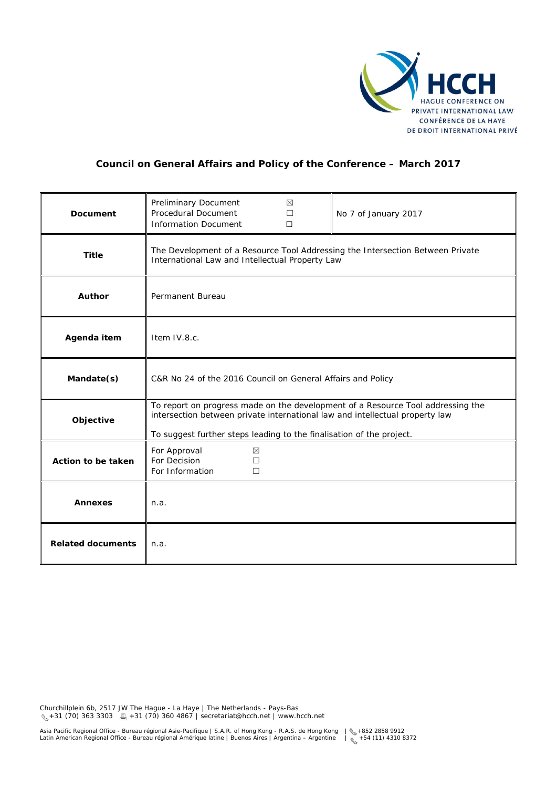

## **Council on General Affairs and Policy of the Conference – March 2017**

| Document                 | Preliminary Document<br>Procedural Document<br><b>Information Document</b>                                                                                                                                                              | ⊠<br>П<br>$\Box$ | No 7 of January 2017 |
|--------------------------|-----------------------------------------------------------------------------------------------------------------------------------------------------------------------------------------------------------------------------------------|------------------|----------------------|
| <b>Title</b>             | The Development of a Resource Tool Addressing the Intersection Between Private<br>International Law and Intellectual Property Law                                                                                                       |                  |                      |
| Author                   | Permanent Bureau                                                                                                                                                                                                                        |                  |                      |
| Agenda item              | Item IV.8.c.                                                                                                                                                                                                                            |                  |                      |
| Mandate(s)               | C&R No 24 of the 2016 Council on General Affairs and Policy                                                                                                                                                                             |                  |                      |
| Objective                | To report on progress made on the development of a Resource Tool addressing the<br>intersection between private international law and intellectual property law<br>To suggest further steps leading to the finalisation of the project. |                  |                      |
| Action to be taken       | For Approval<br>$\boxtimes$<br>For Decision<br>$\Box$<br>For Information<br>$\Box$                                                                                                                                                      |                  |                      |
| <b>Annexes</b>           | n.a.                                                                                                                                                                                                                                    |                  |                      |
| <b>Related documents</b> | n.a.                                                                                                                                                                                                                                    |                  |                      |

Churchillplein 6b, 2517 JW The Hague - La Haye | The Netherlands - Pays-Bas  $\leq 131$  (70) 363 3303  $\equiv$  +31 (70) 360 4867 | secretariat@hcch.net | www.hcch.net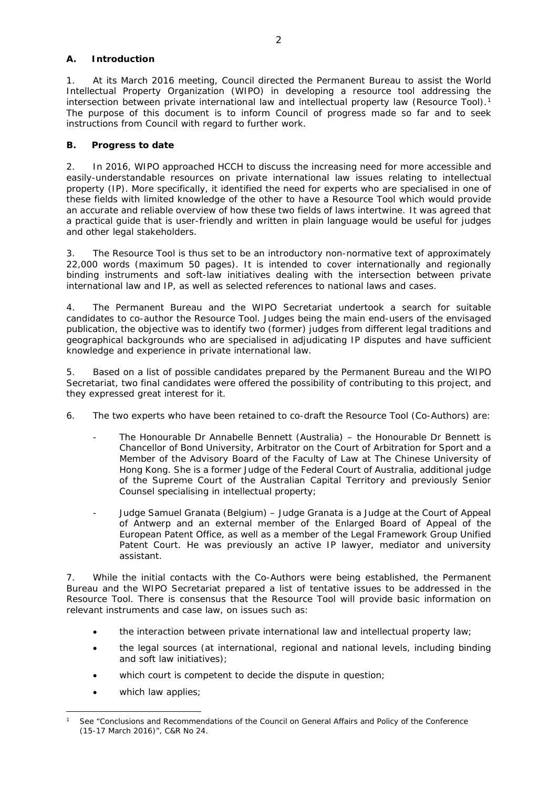## **A. Introduction**

1. At its March 2016 meeting, Council directed the Permanent Bureau to assist the World Intellectual Property Organization (WIPO) in developing a resource tool addressing the intersection between private international law and intellectual property law (Resource Tool).<sup>[1](#page-1-0)</sup> The purpose of this document is to inform Council of progress made so far and to seek instructions from Council with regard to further work.

## **B. Progress to date**

2. In 2016, WIPO approached HCCH to discuss the increasing need for more accessible and easily-understandable resources on private international law issues relating to intellectual property (IP). More specifically, it identified the need for experts who are specialised in one of these fields with limited knowledge of the other to have a Resource Tool which would provide an accurate and reliable overview of how these two fields of laws intertwine. It was agreed that a practical guide that is user-friendly and written in plain language would be useful for judges and other legal stakeholders.

3. The Resource Tool is thus set to be an introductory non-normative text of approximately 22,000 words (maximum 50 pages). It is intended to cover internationally and regionally binding instruments and soft-law initiatives dealing with the intersection between private international law and IP, as well as selected references to national laws and cases.

4. The Permanent Bureau and the WIPO Secretariat undertook a search for suitable candidates to co-author the Resource Tool. Judges being the main end-users of the envisaged publication, the objective was to identify two (former) judges from different legal traditions and geographical backgrounds who are specialised in adjudicating IP disputes and have sufficient knowledge and experience in private international law.

5. Based on a list of possible candidates prepared by the Permanent Bureau and the WIPO Secretariat, two final candidates were offered the possibility of contributing to this project, and they expressed great interest for it.

- 6. The two experts who have been retained to co-draft the Resource Tool (Co-Authors) are:
	- The Honourable Dr Annabelle Bennett (Australia) the Honourable Dr Bennett is Chancellor of Bond University, Arbitrator on the Court of Arbitration for Sport and a Member of the Advisory Board of the Faculty of Law at The Chinese University of Hong Kong. She is a former Judge of the Federal Court of Australia, additional judge of the Supreme Court of the Australian Capital Territory and previously Senior Counsel specialising in intellectual property;
	- Judge Samuel Granata (Belgium) Judge Granata is a Judge at the Court of Appeal of Antwerp and an external member of the Enlarged Board of Appeal of the European Patent Office, as well as a member of the Legal Framework Group Unified Patent Court. He was previously an active IP lawyer, mediator and university assistant.

7. While the initial contacts with the Co-Authors were being established, the Permanent Bureau and the WIPO Secretariat prepared a list of tentative issues to be addressed in the Resource Tool. There is consensus that the Resource Tool will provide basic information on relevant instruments and case law, on issues such as:

- the interaction between private international law and intellectual property law;
- the legal sources (at international, regional and national levels, including binding and soft law initiatives);
- which court is competent to decide the dispute in question;
- which law applies;

<span id="page-1-0"></span><sup>&</sup>lt;u>.</u> See "Conclusions and Recommendations of the Council on General Affairs and Policy of the Conference (15-17 March 2016)", C&R No 24.